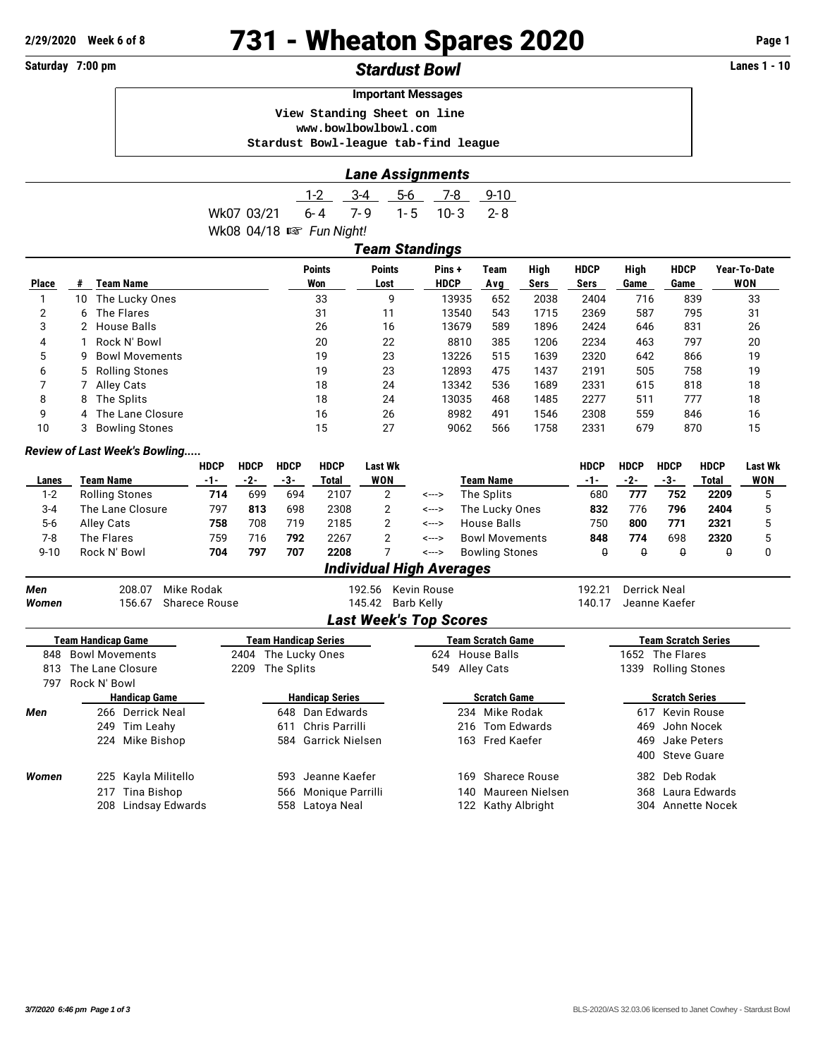# **2/29/2020 Week 6 of 8 731 - Wheaton Spares 2020 Page 1**

# **Saturday 7:00 pm** *Stardust Bowl* **Lanes 1 - 10**

|                                      | <b>Important Messages</b> |  |
|--------------------------------------|---------------------------|--|
| View Standing Sheet on line          |                           |  |
| www.bowlbowlbowl.com                 |                           |  |
| Stardust Bowl-league tab-find league |                           |  |

| <b>Lane Assignments</b> |  |
|-------------------------|--|
|                         |  |

|                                    |  | 1-2 3-4 5-6 7-8 9-10 |  |
|------------------------------------|--|----------------------|--|
| Wk07 03/21 6-4 7-9 1-5 10-3 2-8    |  |                      |  |
| Wk08 04/18 $\mathbb{R}$ Fun Night! |  |                      |  |
|                                    |  |                      |  |

|              | Team Standings |                       |                      |                       |                      |             |              |                     |              |                     |                     |  |
|--------------|----------------|-----------------------|----------------------|-----------------------|----------------------|-------------|--------------|---------------------|--------------|---------------------|---------------------|--|
| <b>Place</b> | #              | Team Name             | <b>Points</b><br>Won | <b>Points</b><br>Lost | Pins+<br><b>HDCP</b> | Team<br>Avg | High<br>Sers | <b>HDCP</b><br>Sers | High<br>Game | <b>HDCP</b><br>Game | Year-To-Date<br>WON |  |
|              | 10             | The Lucky Ones        | 33                   | 9                     | 13935                | 652         | 2038         | 2404                | 716          | 839                 | 33                  |  |
| 2            | 6.             | The Flares            | 31                   | 11                    | 13540                | 543         | 1715         | 2369                | 587          | 795                 | 31                  |  |
| 3            |                | 2 House Balls         | 26                   | 16                    | 13679                | 589         | 1896         | 2424                | 646          | 831                 | 26                  |  |
| 4            |                | Rock N' Bowl          | 20                   | 22                    | 8810                 | 385         | 1206         | 2234                | 463          | 797                 | 20                  |  |
| 5            | g              | <b>Bowl Movements</b> | 19                   | 23                    | 13226                | 515         | 1639         | 2320                | 642          | 866                 | 19                  |  |
| 6            |                | 5 Rolling Stones      | 19                   | 23                    | 12893                | 475         | 1437         | 2191                | 505          | 758                 | 19                  |  |
|              |                | Alley Cats            | 18                   | 24                    | 13342                | 536         | 1689         | 2331                | 615          | 818                 | 18                  |  |
| 8            | 8              | The Splits            | 18                   | 24                    | 13035                | 468         | 1485         | 2277                | 511          | 777                 | 18                  |  |
| 9            |                | 4 The Lane Closure    | 16                   | 26                    | 8982                 | 491         | 1546         | 2308                | 559          | 846                 | 16                  |  |
| 10           |                | <b>Bowling Stones</b> | 15                   | 27                    | 9062                 | 566         | 1758         | 2331                | 679          | 870                 | 15                  |  |

### *Review of Last Week's Bowling.....*

|          |                                 | <b>HDCP</b> | <b>HDCP</b> | <b>HDCP</b> | <b>HDCP</b> | <b>Last Wk</b> |       |                       | HDCP | <b>HDCP</b> | <b>HDCP</b> | <b>HDCP</b>  | <b>Last Wk</b> |
|----------|---------------------------------|-------------|-------------|-------------|-------------|----------------|-------|-----------------------|------|-------------|-------------|--------------|----------------|
| Lanes    | Team Name                       | -1-         | -2-         | -3-         | Total       | WON            |       | <b>Team Name</b>      | -1-  | -2-         | -3-         | <b>Total</b> | <b>WON</b>     |
| $1 - 2$  | <b>Rolling Stones</b>           | 714         | 699         | 694         | 2107        | ົ              | <---> | The Splits            | 680  | 777         | 752         | 2209         |                |
| $3 - 4$  | The Lane Closure                | 797         | 813         | 698         | 2308        |                | <---> | The Lucky Ones        | 832  | 776         | 796         | 2404         |                |
| $5-6$    | Alley Cats                      | 758         | 708         | 719         | 2185        |                | <---> | House Balls           | 750  | 800         | 771         | 2321         |                |
| 7-8      | The Flares                      | 759         | 716         | 792         | 2267        |                | <---> | <b>Bowl Movements</b> | 848  | 774         | 698         | 2320         |                |
| $9 - 10$ | Rock N' Bowl                    | 704         | 797         | 707         | 2208        |                | <---> | <b>Bowling Stones</b> |      |             | θ           |              |                |
|          | <b>Individual High Averages</b> |             |             |             |             |                |       |                       |      |             |             |              |                |

| Men<br>Women |                       | 208.07<br>156.67    | Mike Rodak<br>Sharece Rouse |                        |                             | 192.56<br>145.42    | Kevin Rouse<br>Barb Kelly     |                 |                    | 192.21<br>140.17      | Derrick Neal           | Jeanne Kaefer     |  |  |
|--------------|-----------------------|---------------------|-----------------------------|------------------------|-----------------------------|---------------------|-------------------------------|-----------------|--------------------|-----------------------|------------------------|-------------------|--|--|
|              |                       |                     |                             |                        |                             |                     | <b>Last Week's Top Scores</b> |                 |                    |                       |                        |                   |  |  |
|              | Team Handicap Game    |                     |                             |                        | <b>Team Handicap Series</b> |                     |                               |                 | Team Scratch Game  |                       | Team Scratch Series    |                   |  |  |
| 848          | <b>Bowl Movements</b> |                     |                             |                        |                             | 2404 The Lucky Ones |                               | 624 House Balls |                    |                       | The Flares<br>1652     |                   |  |  |
| 813          | The Lane Closure      |                     |                             | 2209                   | The Splits                  |                     | 549                           | Alley Cats      |                    |                       | Rolling Stones<br>1339 |                   |  |  |
| 797          | Rock N' Bowl          |                     |                             |                        |                             |                     |                               |                 |                    |                       |                        |                   |  |  |
|              | <b>Handicap Game</b>  |                     |                             | <b>Handicap Series</b> |                             |                     | <b>Scratch Game</b>           |                 |                    | <b>Scratch Series</b> |                        |                   |  |  |
| Men          |                       | 266 Derrick Neal    |                             |                        |                             | 648 Dan Edwards     |                               |                 | 234 Mike Rodak     |                       | 617                    | Kevin Rouse       |  |  |
|              |                       | 249 Tim Leahy       |                             |                        | 611                         | Chris Parrilli      |                               |                 | 216 Tom Edwards    |                       | 469                    | John Nocek        |  |  |
|              |                       | 224 Mike Bishop     |                             |                        |                             | 584 Garrick Nielsen |                               |                 | 163 Fred Kaefer    |                       | 469                    | Jake Peters       |  |  |
|              |                       |                     |                             |                        |                             |                     |                               |                 |                    |                       |                        | 400 Steve Guare   |  |  |
| Women        |                       | 225 Kayla Militello |                             |                        | 593                         | Jeanne Kaefer       |                               | 169             | Sharece Rouse      |                       | 382                    | Deb Rodak         |  |  |
|              | 217                   | Tina Bishop         |                             |                        | 566                         | Monique Parrilli    |                               | 140             | Maureen Nielsen    |                       | 368                    | Laura Edwards     |  |  |
|              | 208                   |                     | Lindsay Edwards             |                        | 558                         | Latoya Neal         |                               |                 | 122 Kathy Albright |                       |                        | 304 Annette Nocek |  |  |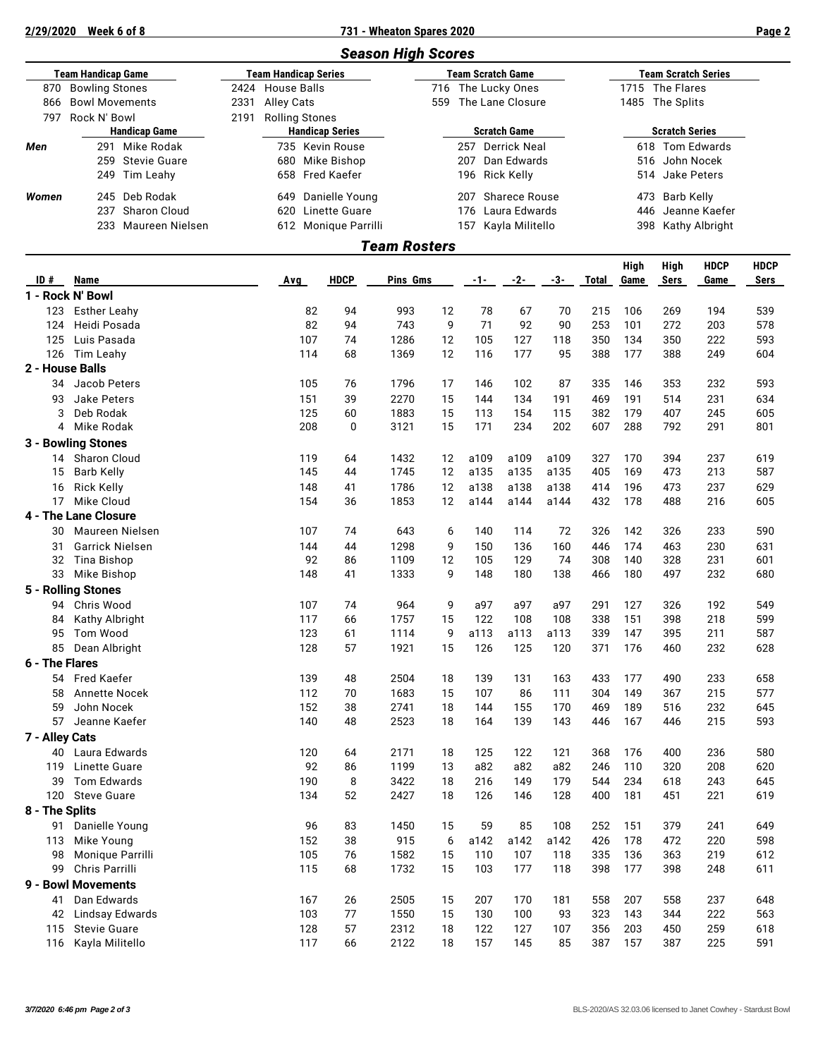## **2/29/2020 Week 6 of 8 731 - Wheaton Spares 2020 Page 2**

|                    |                       |      |                        | <b>Season High Scores</b> |                            |
|--------------------|-----------------------|------|------------------------|---------------------------|----------------------------|
| Team Handicap Game |                       |      | Team Handicap Series   | <b>Team Scratch Game</b>  | <b>Team Scratch Series</b> |
| 870                | <b>Bowling Stones</b> |      | 2424 House Balls       | 716 The Lucky Ones        | 1715 The Flares            |
| 866                | <b>Bowl Movements</b> | 2331 | Alley Cats             | The Lane Closure<br>559   | 1485 The Splits            |
| 797                | Rock N' Bowl          | 2191 | Rolling Stones         |                           |                            |
|                    | <b>Handicap Game</b>  |      | <b>Handicap Series</b> | <b>Scratch Game</b>       | <b>Scratch Series</b>      |
| Men                | Mike Rodak<br>291     |      | 735 Kevin Rouse        | Derrick Neal<br>257       | Tom Edwards<br>618         |
|                    | 259 Stevie Guare      |      | Mike Bishop<br>680     | Dan Edwards<br>207        | 516 John Nocek             |
|                    | 249 Tim Leahy         |      | 658 Fred Kaefer        | 196 Rick Kelly            | 514 Jake Peters            |
| Women              | 245 Deb Rodak         |      | Danielle Young<br>649  | Sharece Rouse<br>207      | Barb Kelly<br>473          |
|                    | Sharon Cloud<br>237   |      | Linette Guare<br>620   | Laura Edwards<br>176      | Jeanne Kaefer<br>446       |
|                    | 233 Maureen Nielsen   |      | 612 Monique Parrilli   | Kayla Militello<br>157    | Kathy Albright<br>398      |
|                    |                       |      |                        | Team Rosters              |                            |

| ID #            | Name                                |     | <b>HDCP</b> | Pins Gms     |          |          |            |           |            | High<br>Game | High<br><b>Sers</b> | <b>HDCP</b> | <b>HDCP</b><br><b>Sers</b> |
|-----------------|-------------------------------------|-----|-------------|--------------|----------|----------|------------|-----------|------------|--------------|---------------------|-------------|----------------------------|
|                 | 1 - Rock N' Bowl                    | Avg |             |              |          | $-1-$    | $-2-$      | -3-       | Total      |              |                     | Game        |                            |
|                 |                                     | 82  | 94          | 993          |          |          | 67         |           |            | 106          | 269                 | 194         |                            |
| 123<br>124      | <b>Esther Leahy</b><br>Heidi Posada | 82  | 94          | 743          | 12<br>9  | 78<br>71 | 92         | 70<br>90  | 215<br>253 | 101          | 272                 | 203         | 539<br>578                 |
| 125             |                                     | 107 |             |              |          | 105      |            |           | 350        |              | 350                 |             |                            |
| 126             | Luis Pasada                         | 114 | 74<br>68    | 1286<br>1369 | 12<br>12 | 116      | 127<br>177 | 118<br>95 | 388        | 134<br>177   | 388                 | 222<br>249  | 593<br>604                 |
|                 | Tim Leahy                           |     |             |              |          |          |            |           |            |              |                     |             |                            |
| 2 - House Balls |                                     |     |             |              |          |          |            |           |            |              |                     |             |                            |
| 34              | Jacob Peters                        | 105 | 76          | 1796         | 17       | 146      | 102        | 87        | 335        | 146          | 353                 | 232         | 593                        |
| 93              | <b>Jake Peters</b>                  | 151 | 39          | 2270         | 15       | 144      | 134        | 191       | 469        | 191          | 514                 | 231         | 634                        |
| 3               | Deb Rodak                           | 125 | 60          | 1883         | 15       | 113      | 154        | 115       | 382        | 179          | 407                 | 245         | 605                        |
| 4               | Mike Rodak                          | 208 | 0           | 3121         | 15       | 171      | 234        | 202       | 607        | 288          | 792                 | 291         | 801                        |
|                 | 3 - Bowling Stones                  |     |             |              |          |          |            |           |            |              |                     |             |                            |
| 14              | Sharon Cloud                        | 119 | 64          | 1432         | 12       | a109     | a109       | a109      | 327        | 170          | 394                 | 237         | 619                        |
| 15              | Barb Kelly                          | 145 | 44          | 1745         | 12       | a135     | a135       | a135      | 405        | 169          | 473                 | 213         | 587                        |
| 16              | <b>Rick Kelly</b>                   | 148 | 41          | 1786         | 12       | a138     | a138       | a138      | 414        | 196          | 473                 | 237         | 629                        |
| 17              | Mike Cloud                          | 154 | 36          | 1853         | 12       | a144     | a144       | a144      | 432        | 178          | 488                 | 216         | 605                        |
|                 | 4 - The Lane Closure                |     |             |              |          |          |            |           |            |              |                     |             |                            |
| 30              | Maureen Nielsen                     | 107 | 74          | 643          | 6        | 140      | 114        | 72        | 326        | 142          | 326                 | 233         | 590                        |
| 31              | <b>Garrick Nielsen</b>              | 144 | 44          | 1298         | 9        | 150      | 136        | 160       | 446        | 174          | 463                 | 230         | 631                        |
| 32              | <b>Tina Bishop</b>                  | 92  | 86          | 1109         | 12       | 105      | 129        | 74        | 308        | 140          | 328                 | 231         | 601                        |
| 33              | Mike Bishop                         | 148 | 41          | 1333         | 9        | 148      | 180        | 138       | 466        | 180          | 497                 | 232         | 680                        |
|                 | 5 - Rolling Stones                  |     |             |              |          |          |            |           |            |              |                     |             |                            |
| 94              | Chris Wood                          | 107 | 74          | 964          | 9        | a97      | a97        | a97       | 291        | 127          | 326                 | 192         | 549                        |
| 84              | Kathy Albright                      | 117 | 66          | 1757         | 15       | 122      | 108        | 108       | 338        | 151          | 398                 | 218         | 599                        |
| 95              | Tom Wood                            | 123 | 61          | 1114         | 9        | a113     | a113       | a113      | 339        | 147          | 395                 | 211         | 587                        |
| 85              | Dean Albright                       | 128 | 57          | 1921         | 15       | 126      | 125        | 120       | 371        | 176          | 460                 | 232         | 628                        |
| 6 - The Flares  |                                     |     |             |              |          |          |            |           |            |              |                     |             |                            |
| 54              | <b>Fred Kaefer</b>                  | 139 | 48          | 2504         | 18       | 139      | 131        | 163       | 433        | 177          | 490                 | 233         | 658                        |
| 58              | <b>Annette Nocek</b>                | 112 | 70          | 1683         | 15       | 107      | 86         | 111       | 304        | 149          | 367                 | 215         | 577                        |
| 59              | John Nocek                          | 152 | 38          | 2741         | 18       | 144      | 155        | 170       | 469        | 189          | 516                 | 232         | 645                        |
| 57              | Jeanne Kaefer                       | 140 | 48          | 2523         | 18       | 164      | 139        | 143       | 446        | 167          | 446                 | 215         | 593                        |
| 7 - Alley Cats  |                                     |     |             |              |          |          |            |           |            |              |                     |             |                            |
| 40              | Laura Edwards                       | 120 | 64          | 2171         | 18       | 125      | 122        | 121       | 368        | 176          | 400                 | 236         | 580                        |
| 119             | Linette Guare                       | 92  | 86          | 1199         | 13       | a82      | a82        | a82       | 246        | 110          | 320                 | 208         | 620                        |
| 39              | <b>Tom Edwards</b>                  | 190 | 8           | 3422         | 18       | 216      | 149        | 179       | 544        | 234          | 618                 | 243         | 645                        |
| 120             | <b>Steve Guare</b>                  | 134 | 52          | 2427         | 18       | 126      | 146        | 128       | 400        | 181          | 451                 | 221         | 619                        |
| 8 - The Splits  |                                     |     |             |              |          |          |            |           |            |              |                     |             |                            |
| 91              | Danielle Young                      | 96  | 83          | 1450         | 15       | 59       | 85         | 108       | 252        | 151          | 379                 | 241         | 649                        |
|                 |                                     | 152 | 38          | 915          | 6        | a142     | a142       | a142      | 426        | 178          | 472                 | 220         | 598                        |
| 113<br>98       | Mike Young<br>Monique Parrilli      | 105 | 76          | 1582         | 15       | 110      | 107        | 118       | 335        | 136          | 363                 | 219         | 612                        |
| 99              | Chris Parrilli                      | 115 | 68          | 1732         | 15       | 103      | 177        | 118       | 398        | 177          | 398                 | 248         | 611                        |
|                 |                                     |     |             |              |          |          |            |           |            |              |                     |             |                            |
|                 | 9 - Bowl Movements                  |     |             |              |          |          |            |           |            |              |                     |             |                            |
| 41              | Dan Edwards                         | 167 | 26          | 2505         | 15       | 207      | 170        | 181       | 558        | 207          | 558                 | 237         | 648                        |
| 42              | Lindsay Edwards                     | 103 | 77          | 1550         | 15       | 130      | 100        | 93        | 323        | 143          | 344                 | 222         | 563                        |
| 115             | <b>Stevie Guare</b>                 | 128 | 57          | 2312         | 18       | 122      | 127        | 107       | 356        | 203          | 450                 | 259         | 618                        |
| 116             | Kayla Militello                     | 117 | 66          | 2122         | 18       | 157      | 145        | 85        | 387        | 157          | 387                 | 225         | 591                        |